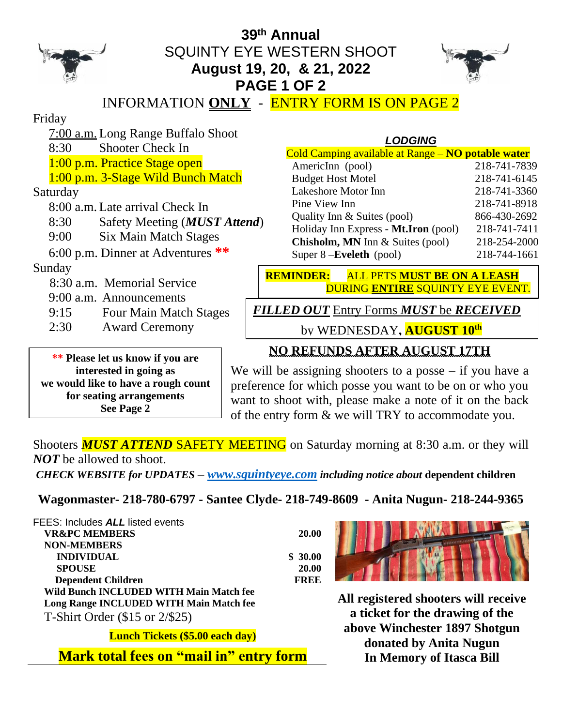

### **39 th Annual** SQUINTY EYE WESTERN SHOOT **August 19, 20, & 21, 2022 PAGE 1 OF 2**



INFORMATION **ONLY** - ENTRY FORM IS ON PAGE 2

Friday

7:00 a.m. Long Range Buffalo Shoot

8:30 Shooter Check In

1:00 p.m. Practice Stage open

1:00 p.m. 3-Stage Wild Bunch Match

Saturday

8:00 a.m. Late arrival Check In

- 8:30 Safety Meeting (*MUST Attend*)
- 9:00 Six Main Match Stages

6:00 p.m. Dinner at Adventures **\*\***

Sunday

8:30 a.m. Memorial Service

9:00 a.m. Announcements

- 9:15 Four Main Match Stages
- 2:30 Award Ceremony

**\*\* Please let us know if you are interested in going as we would like to have a rough count for seating arrangements See Page 2**

#### *LODGING* Cold Camping available at Range – **NO potable water** AmericInn (pool) 218-741-7839 Budget Host Motel 218-741-6145 Lakeshore Motor Inn 218-741-3360 Pine View Inn 218-741-8918 Quality Inn & Suites (pool) 866-430-2692 Holiday Inn Express - **Mt.Iron** (pool) 218-741-7411 **Chisholm, MN** Inn & Suites (pool) 218-254-2000 Super 8 –**Eveleth** (pool) 218-744-1661

**REMINDER:** ALL PETS **MUST BE ON A LEASH** DURING **ENTIRE** SQUINTY EYE EVENT.

*FILLED OUT* Entry Forms *MUST* be *RECEIVED*

by WEDNESDAY**, AUGUST 10 th**

#### **NO REFUNDS AFTER AUGUST 17TH**

We will be assigning shooters to a posse  $-$  if you have a preference for which posse you want to be on or who you want to shoot with, please make a note of it on the back of the entry form & we will TRY to accommodate you.

Shooters **MUST ATTEND SAFETY MEETING** on Saturday morning at 8:30 a.m. or they will *NOT* be allowed to shoot.

*CHECK WEBSITE for UPDATES – [www.squintyeye.com](http://www.squintyeye.com/) including notice about* **dependent children**

**Wagonmaster- 218-780-6797 - Santee Clyde- 218-749-8609 - Anita Nugun- 218-244-9365**

FEES: Includes *ALL* listed events **VR&PC MEMBERS 20.00 NON-MEMBERS INDIVIDUAL \$ 30.00 SPOUSE 20.00 Dependent Children FREE Wild Bunch INCLUDED WITH Main Match fee Long Range INCLUDED WITH Main Match fee** T-Shirt Order (\$15 or 2/\$25)

**Lunch Tickets (\$5.00 each day)**

**Mark total fees on "mail in" entry form**



**All registered shooters will receive a ticket for the drawing of the above Winchester 1897 Shotgun donated by Anita Nugun In Memory of Itasca Bill**